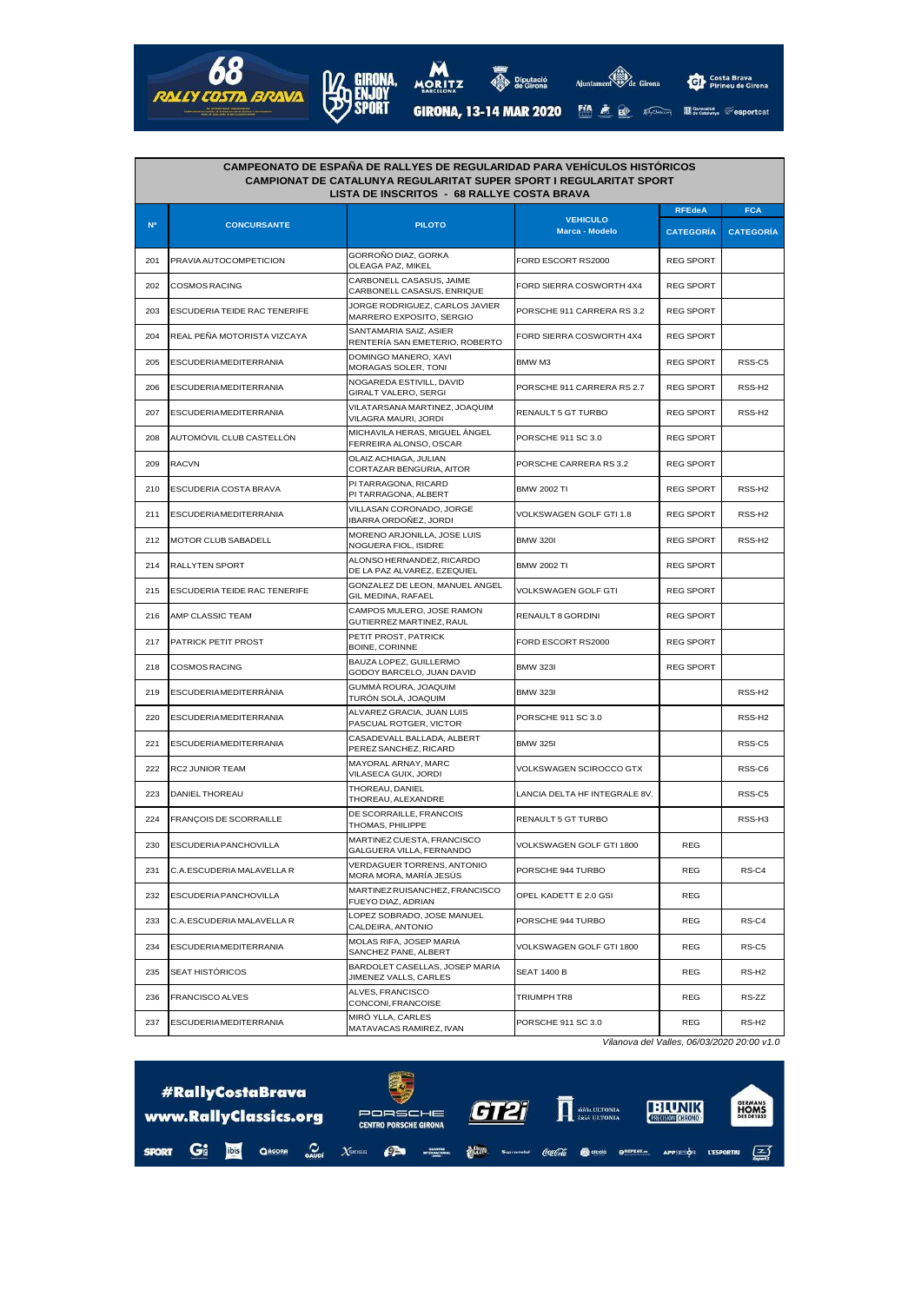

| <b>CAMPEONATO DE ESPANA DE RALLYES DE REGULARIDAD PARA VEHICULOS HISTÓRICOS</b><br><b>CAMPIONAT DE CATALUNYA REGULARITAT SUPER SPORT I REGULARITAT SPORT</b><br>LISTA DE INSCRITOS - 68 RALLYE COSTA BRAVA |                                     |                                                            |                                   |                  |                    |  |  |  |
|------------------------------------------------------------------------------------------------------------------------------------------------------------------------------------------------------------|-------------------------------------|------------------------------------------------------------|-----------------------------------|------------------|--------------------|--|--|--|
|                                                                                                                                                                                                            |                                     |                                                            | <b>VEHICULO</b><br>Marca - Modelo | <b>RFEdeA</b>    | <b>FCA</b>         |  |  |  |
| N <sup>o</sup>                                                                                                                                                                                             | <b>CONCURSANTE</b>                  | <b>PILOTO</b>                                              |                                   | <b>CATEGORIA</b> | <b>CATEGORÍA</b>   |  |  |  |
| 201                                                                                                                                                                                                        | PRAVIA AUTOCOMPETICION              | GORROÑO DIAZ, GORKA<br>OLEAGA PAZ, MIKEL                   | FORD ESCORT RS2000                | <b>REG SPORT</b> |                    |  |  |  |
| 202                                                                                                                                                                                                        | <b>COSMOS RACING</b>                | CARBONELL CASASUS, JAIME<br>CARBONELL CASASUS, ENRIQUE     | FORD SIERRA COSWORTH 4X4          | <b>REG SPORT</b> |                    |  |  |  |
| 203                                                                                                                                                                                                        | <b>ESCUDERIA TEIDE RAC TENERIFE</b> | JORGE RODRIGUEZ, CARLOS JAVIER<br>MARRERO EXPOSITO, SERGIO | PORSCHE 911 CARRERA RS 3.2        | <b>REG SPORT</b> |                    |  |  |  |
| 204                                                                                                                                                                                                        | REAL PENA MOTORISTA VIZCAYA         | SANTAMARIA SAIZ, ASIER<br>RENTERÍA SAN EMETERIO, ROBERTO   | FORD SIERRA COSWORTH 4X4          | <b>REG SPORT</b> |                    |  |  |  |
| 205                                                                                                                                                                                                        | <b>ESCUDERIAMEDITERRANIA</b>        | DOMINGO MANERO, XAVI<br>MORAGAS SOLER, TONI                | BMW M3                            | <b>REG SPORT</b> | RSS-C5             |  |  |  |
| 206                                                                                                                                                                                                        | <b>ESCUDERIAMEDITERRANIA</b>        | NOGAREDA ESTIVILL, DAVID<br>GIRALT VALERO, SERGI           | PORSCHE 911 CARRERA RS 2.7        | <b>REG SPORT</b> | RSS-H <sub>2</sub> |  |  |  |
| 207                                                                                                                                                                                                        | <b>ESCUDERIAMEDITERRANIA</b>        | VILATARSANA MARTINEZ, JOAQUIM<br>VILAGRA MAURI, JORDI      | RENAULT 5 GT TURBO                | <b>REG SPORT</b> | RSS-H <sub>2</sub> |  |  |  |
| 208                                                                                                                                                                                                        | AUTOMÓVIL CLUB CASTELLÓN            | MICHAVILA HERAS, MIGUEL ÁNGEL<br>FERREIRA ALONSO, OSCAR    | PORSCHE 911 SC 3.0                | <b>REG SPORT</b> |                    |  |  |  |
| 209                                                                                                                                                                                                        | <b>RACVN</b>                        | OLAIZ ACHIAGA, JULIAN<br>CORTAZAR BENGURIA, AITOR          | PORSCHE CARRERA RS 3.2            | <b>REG SPORT</b> |                    |  |  |  |
| 210                                                                                                                                                                                                        | <b>ESCUDERIA COSTA BRAVA</b>        | PI TARRAGONA, RICARD<br>PI TARRAGONA, ALBERT               | <b>BMW 2002 TI</b>                | <b>REG SPORT</b> | RSS-H <sub>2</sub> |  |  |  |
| 211                                                                                                                                                                                                        | <b>ESCUDERIAMEDITERRANIA</b>        | VILLASAN CORONADO, JORGE<br>IBARRA ORDOÑEZ, JORDI          | VOLKSWAGEN GOLF GTI 1.8           | <b>REG SPORT</b> | RSS-H <sub>2</sub> |  |  |  |
| 212                                                                                                                                                                                                        | MOTOR CLUB SABADELL                 | MORENO ARJONILLA, JOSE LUIS<br>NOGUERA FIOL, ISIDRE        | <b>BMW 320I</b>                   | <b>REG SPORT</b> | RSS-H <sub>2</sub> |  |  |  |
| 214                                                                                                                                                                                                        | <b>RALLYTEN SPORT</b>               | ALONSO HERNANDEZ, RICARDO<br>DE LA PAZ ALVAREZ, EZEQUIEL   | <b>BMW 2002 TI</b>                | <b>REG SPORT</b> |                    |  |  |  |
| 215                                                                                                                                                                                                        | <b>ESCUDERIA TEIDE RAC TENERIFE</b> | GONZALEZ DE LEON, MANUEL ANGEL<br>GIL MEDINA, RAFAEL       | VOLKSWAGEN GOLF GTI               | <b>REG SPORT</b> |                    |  |  |  |
| 216                                                                                                                                                                                                        | AMP CLASSIC TEAM                    | CAMPOS MULERO, JOSE RAMON<br>GUTIERREZ MARTINEZ, RAUL      | RENAULT 8 GORDINI                 | <b>REG SPORT</b> |                    |  |  |  |
| 217                                                                                                                                                                                                        | <b>PATRICK PETIT PROST</b>          | PETIT PROST, PATRICK<br>BOINE, CORINNE                     | FORD ESCORT RS2000                | <b>REG SPORT</b> |                    |  |  |  |
| 218                                                                                                                                                                                                        | <b>COSMOS RACING</b>                | BAUZA LOPEZ, GUILLERMO<br>GODOY BARCELO, JUAN DAVID        | <b>BMW 323I</b>                   | <b>REG SPORT</b> |                    |  |  |  |
| 219                                                                                                                                                                                                        | <b>ESCUDERIAMEDITERRANIA</b>        | GUMMA ROURA, JOAQUIM<br>TURÓN SOLÀ, JOAQUIM                | <b>BMW 323I</b>                   |                  | RSS-H <sub>2</sub> |  |  |  |
| 220                                                                                                                                                                                                        | <b>ESCUDERIAMEDITERRANIA</b>        | ALVAREZ GRACIA, JUAN LUIS<br>PASCUAL ROTGER, VICTOR        | PORSCHE 911 SC 3.0                |                  | RSS-H <sub>2</sub> |  |  |  |
| 221                                                                                                                                                                                                        | <b>ESCUDERIAMEDITERRANIA</b>        | CASADEVALL BALLADA, ALBERT<br>PEREZ SANCHEZ, RICARD        | <b>BMW 325I</b>                   |                  | RSS-C5             |  |  |  |
| 222                                                                                                                                                                                                        | <b>RC2 JUNIOR TEAM</b>              | MAYORAL ARNAY, MARC<br>VILASECA GUIX, JORDI                | VOLKSWAGEN SCIROCCO GTX           |                  | RSS-C6             |  |  |  |
| 223                                                                                                                                                                                                        | DANIEL THOREAU                      | THOREAU, DANIEL<br>THOREAU, ALEXANDRE                      | LANCIA DELTA HF INTEGRALE 8V.     |                  | RSS-C5             |  |  |  |
| 224                                                                                                                                                                                                        | FRANÇOIS DE SCORRAILLE              | DE SCORRAILLE, FRANCOIS<br>THOMAS, PHILIPPE                | RENAULT 5 GT TURBO                |                  | RSS-H <sub>3</sub> |  |  |  |
| 230                                                                                                                                                                                                        | <b>ESCUDERIA PANCHOVILLA</b>        | MARTINEZ CUESTA, FRANCISCO<br>GALGUERA VILLA, FERNANDO     | VOLKSWAGEN GOLF GTI 1800          | <b>REG</b>       |                    |  |  |  |
| 231                                                                                                                                                                                                        | C.A.ESCUDERIA MALAVELLA R           | VERDAGUER TORRENS, ANTONIO<br>MORA MORA, MARÍA JESÚS       | PORSCHE 944 TURBO                 | REG              | RS-C4              |  |  |  |
| 232                                                                                                                                                                                                        | ESCUDERIA PANCHOVILLA               | MARTINEZRUISANCHEZ, FRANCISCO<br>FUEYO DIAZ, ADRIAN        | OPEL KADETT E 2.0 GSI             | REG              |                    |  |  |  |
| 233                                                                                                                                                                                                        | C.A.ESCUDERIA MALAVELLA R           | LOPEZ SOBRADO, JOSE MANUEL<br>CALDEIRA, ANTONIO            | PORSCHE 944 TURBO                 | REG              | RS-C4              |  |  |  |
| 234                                                                                                                                                                                                        | <b>ESCUDERIAMEDITERRANIA</b>        | MOLAS RIFA, JOSEP MARIA<br>SANCHEZ PANE, ALBERT            | VOLKSWAGEN GOLF GTI 1800          | REG              | RS-C5              |  |  |  |
| 235                                                                                                                                                                                                        | SEAT HISTÓRICOS                     | BARDOLET CASELLAS, JOSEP MARIA<br>JIMENEZ VALLS, CARLES    | SEAT 1400 B                       | REG              | RS-H <sub>2</sub>  |  |  |  |
| 236                                                                                                                                                                                                        | FRANCISCO ALVES                     | ALVES, FRANCISCO<br>CONCONI, FRANCOISE                     | TRIUMPH TR8                       | REG              | RS-ZZ              |  |  |  |
| 237                                                                                                                                                                                                        | <b>ESCUDERIAMEDITERRANIA</b>        | MIRÓ YLLA, CARLES<br>MATAVACAS RAMIREZ, IVAN               | PORSCHE 911 SC 3.0                | REG              | RS-H <sub>2</sub>  |  |  |  |

Vilanova del Valles, 06/03/2020 20:00 v1.0